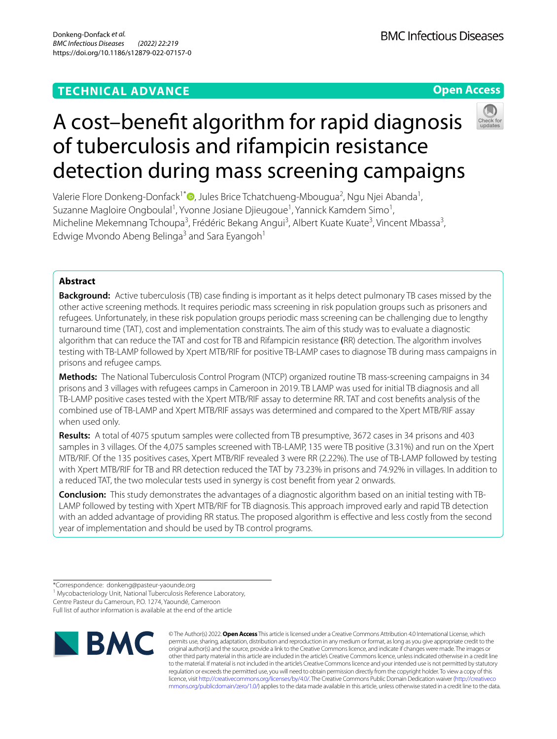## **TECHNICAL ADVANCE**

**Open Access**

# A cost–beneft algorithm for rapid diagnosis of tuberculosis and rifampicin resistance detection during mass screening campaigns

Valerie Flore Donkeng-Donfack<sup>1\*</sup>®[,](http://orcid.org/0000-0002-1643-4909) Jules Brice Tchatchueng-Mbougua<sup>2</sup>, Ngu Njei Abanda<sup>1</sup>, Suzanne Magloire Ongboulal<sup>1</sup>, Yvonne Josiane Djieugoue<sup>1</sup>, Yannick Kamdem Simo<sup>1</sup>, Micheline Mekemnang Tchoupa<sup>3</sup>, Frédéric Bekang Angui<sup>3</sup>, Albert Kuate Kuate<sup>3</sup>, Vincent Mbassa<sup>3</sup>, Edwige Mvondo Abeng Belinga<sup>3</sup> and Sara Eyangoh<sup>1</sup>

## **Abstract**

**Background:** Active tuberculosis (TB) case fnding is important as it helps detect pulmonary TB cases missed by the other active screening methods. It requires periodic mass screening in risk population groups such as prisoners and refugees. Unfortunately, in these risk population groups periodic mass screening can be challenging due to lengthy turnaround time (TAT), cost and implementation constraints. The aim of this study was to evaluate a diagnostic algorithm that can reduce the TAT and cost for TB and Rifampicin resistance **(**RR) detection. The algorithm involves testing with TB-LAMP followed by Xpert MTB/RIF for positive TB-LAMP cases to diagnose TB during mass campaigns in prisons and refugee camps.

**Methods:** The National Tuberculosis Control Program (NTCP) organized routine TB mass-screening campaigns in 34 prisons and 3 villages with refugees camps in Cameroon in 2019. TB LAMP was used for initial TB diagnosis and all TB-LAMP positive cases tested with the Xpert MTB/RIF assay to determine RR. TAT and cost benefts analysis of the combined use of TB-LAMP and Xpert MTB/RIF assays was determined and compared to the Xpert MTB/RIF assay when used only.

**Results:** A total of 4075 sputum samples were collected from TB presumptive, 3672 cases in 34 prisons and 403 samples in 3 villages. Of the 4,075 samples screened with TB-LAMP, 135 were TB positive (3.31%) and run on the Xpert MTB/RIF. Of the 135 positives cases, Xpert MTB/RIF revealed 3 were RR (2.22%). The use of TB-LAMP followed by testing with Xpert MTB/RIF for TB and RR detection reduced the TAT by 73.23% in prisons and 74.92% in villages. In addition to a reduced TAT, the two molecular tests used in synergy is cost beneft from year 2 onwards.

**Conclusion:** This study demonstrates the advantages of a diagnostic algorithm based on an initial testing with TB-LAMP followed by testing with Xpert MTB/RIF for TB diagnosis. This approach improved early and rapid TB detection with an added advantage of providing RR status. The proposed algorithm is effective and less costly from the second year of implementation and should be used by TB control programs.

Centre Pasteur du Cameroun, P.O. 1274, Yaoundé, Cameroon

Full list of author information is available at the end of the article



© The Author(s) 2022. **Open Access** This article is licensed under a Creative Commons Attribution 4.0 International License, which permits use, sharing, adaptation, distribution and reproduction in any medium or format, as long as you give appropriate credit to the original author(s) and the source, provide a link to the Creative Commons licence, and indicate if changes were made. The images or other third party material in this article are included in the article's Creative Commons licence, unless indicated otherwise in a credit line to the material. If material is not included in the article's Creative Commons licence and your intended use is not permitted by statutory regulation or exceeds the permitted use, you will need to obtain permission directly from the copyright holder. To view a copy of this licence, visit [http://creativecommons.org/licenses/by/4.0/.](http://creativecommons.org/licenses/by/4.0/) The Creative Commons Public Domain Dedication waiver ([http://creativeco](http://creativecommons.org/publicdomain/zero/1.0/) [mmons.org/publicdomain/zero/1.0/](http://creativecommons.org/publicdomain/zero/1.0/)) applies to the data made available in this article, unless otherwise stated in a credit line to the data.

<sup>\*</sup>Correspondence: donkeng@pasteur-yaounde.org

<sup>&</sup>lt;sup>1</sup> Mycobacteriology Unit, National Tuberculosis Reference Laboratory,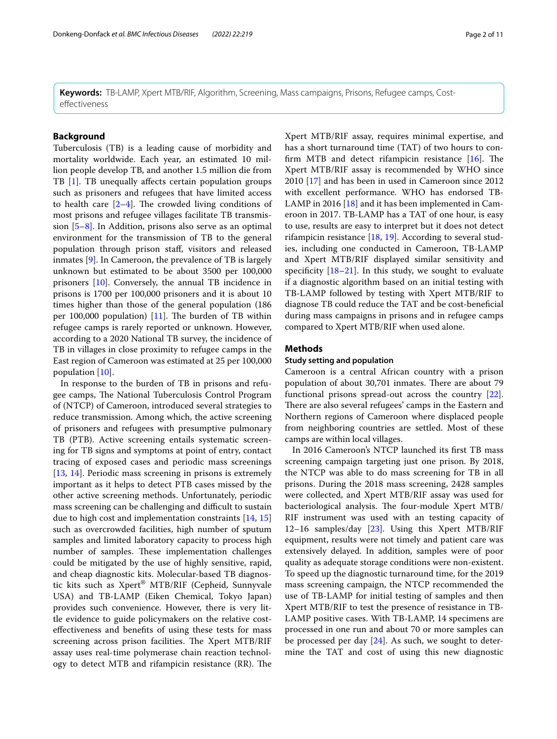**Keywords:** TB-LAMP, Xpert MTB/RIF, Algorithm, Screening, Mass campaigns, Prisons, Refugee camps, Costefectiveness

#### **Background**

Tuberculosis (TB) is a leading cause of morbidity and mortality worldwide. Each year, an estimated 10 million people develop TB, and another 1.5 million die from TB [\[1](#page-9-0)]. TB unequally affects certain population groups such as prisoners and refugees that have limited access to health care  $[2-4]$  $[2-4]$  $[2-4]$ . The crowded living conditions of most prisons and refugee villages facilitate TB transmission [[5–](#page-10-1)[8\]](#page-10-2). In Addition, prisons also serve as an optimal environment for the transmission of TB to the general population through prison staf, visitors and released inmates [[9\]](#page-10-3). In Cameroon, the prevalence of TB is largely unknown but estimated to be about 3500 per 100,000 prisoners [\[10](#page-10-4)]. Conversely, the annual TB incidence in prisons is 1700 per 100,000 prisoners and it is about 10 times higher than those of the general population (186 per 100,000 population)  $[11]$  $[11]$  $[11]$ . The burden of TB within refugee camps is rarely reported or unknown. However, according to a 2020 National TB survey, the incidence of TB in villages in close proximity to refugee camps in the East region of Cameroon was estimated at 25 per 100,000 population [[10\]](#page-10-4).

In response to the burden of TB in prisons and refugee camps, The National Tuberculosis Control Program of (NTCP) of Cameroon, introduced several strategies to reduce transmission. Among which, the active screening of prisoners and refugees with presumptive pulmonary TB (PTB). Active screening entails systematic screening for TB signs and symptoms at point of entry, contact tracing of exposed cases and periodic mass screenings [[13,](#page-10-6) [14\]](#page-10-7). Periodic mass screening in prisons is extremely important as it helps to detect PTB cases missed by the other active screening methods. Unfortunately, periodic mass screening can be challenging and difficult to sustain due to high cost and implementation constraints [[14,](#page-10-7) [15](#page-10-8)] such as overcrowded facilities, high number of sputum samples and limited laboratory capacity to process high number of samples. These implementation challenges could be mitigated by the use of highly sensitive, rapid, and cheap diagnostic kits. Molecular-based TB diagnostic kits such as Xpert® MTB/RIF (Cepheid, Sunnyvale USA) and TB-LAMP (Eiken Chemical, Tokyo Japan) provides such convenience. However, there is very little evidence to guide policymakers on the relative costefectiveness and benefts of using these tests for mass screening across prison facilities. The Xpert MTB/RIF assay uses real-time polymerase chain reaction technology to detect MTB and rifampicin resistance (RR). The Xpert MTB/RIF assay, requires minimal expertise, and has a short turnaround time (TAT) of two hours to confirm MTB and detect rifampicin resistance  $[16]$  $[16]$  $[16]$ . The Xpert MTB/RIF assay is recommended by WHO since 2010 [[17](#page-10-10)] and has been in used in Cameroon since 2012 with excellent performance. WHO has endorsed TB-LAMP in 2016 [\[18\]](#page-10-11) and it has been implemented in Cameroon in 2017. TB-LAMP has a TAT of one hour, is easy to use, results are easy to interpret but it does not detect rifampicin resistance [[18,](#page-10-11) [19](#page-10-12)]. According to several studies, including one conducted in Cameroon, TB-LAMP and Xpert MTB/RIF displayed similar sensitivity and specificity  $[18-21]$  $[18-21]$  $[18-21]$ . In this study, we sought to evaluate if a diagnostic algorithm based on an initial testing with TB-LAMP followed by testing with Xpert MTB/RIF to diagnose TB could reduce the TAT and be cost-benefcial during mass campaigns in prisons and in refugee camps compared to Xpert MTB/RIF when used alone.

#### **Methods**

#### **Study setting and population**

Cameroon is a central African country with a prison population of about 30,701 inmates. There are about 79 functional prisons spread-out across the country [\[22](#page-10-14)]. There are also several refugees' camps in the Eastern and Northern regions of Cameroon where displaced people from neighboring countries are settled. Most of these camps are within local villages.

In 2016 Cameroon's NTCP launched its frst TB mass screening campaign targeting just one prison. By 2018, the NTCP was able to do mass screening for TB in all prisons. During the 2018 mass screening, 2428 samples were collected, and Xpert MTB/RIF assay was used for bacteriological analysis. The four-module Xpert MTB/ RIF instrument was used with an testing capacity of 12–16 samples/day [\[23](#page-10-15)]. Using this Xpert MTB/RIF equipment, results were not timely and patient care was extensively delayed. In addition, samples were of poor quality as adequate storage conditions were non-existent. To speed up the diagnostic turnaround time, for the 2019 mass screening campaign, the NTCP recommended the use of TB-LAMP for initial testing of samples and then Xpert MTB/RIF to test the presence of resistance in TB-LAMP positive cases. With TB-LAMP, 14 specimens are processed in one run and about 70 or more samples can be processed per day [\[24](#page-10-16)]. As such, we sought to determine the TAT and cost of using this new diagnostic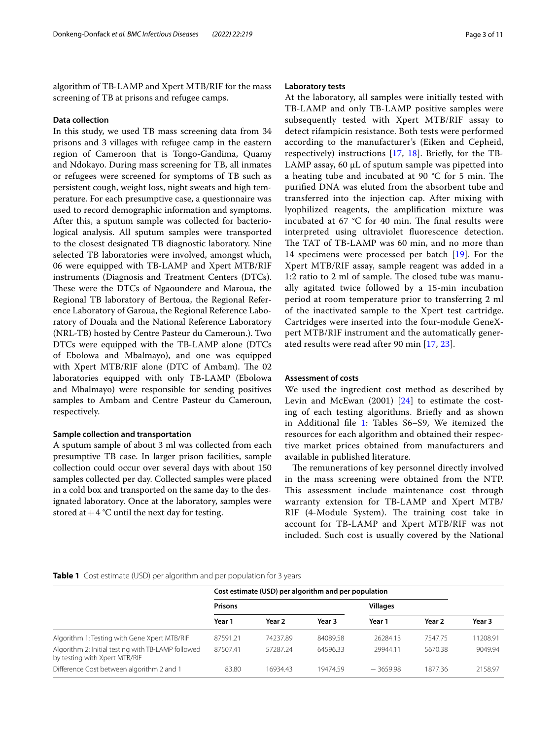algorithm of TB-LAMP and Xpert MTB/RIF for the mass screening of TB at prisons and refugee camps.

#### **Data collection**

In this study, we used TB mass screening data from 34 prisons and 3 villages with refugee camp in the eastern region of Cameroon that is Tongo-Gandima, Quamy and Ndokayo. During mass screening for TB, all inmates or refugees were screened for symptoms of TB such as persistent cough, weight loss, night sweats and high temperature. For each presumptive case, a questionnaire was used to record demographic information and symptoms. After this, a sputum sample was collected for bacteriological analysis. All sputum samples were transported to the closest designated TB diagnostic laboratory. Nine selected TB laboratories were involved, amongst which, 06 were equipped with TB-LAMP and Xpert MTB/RIF instruments (Diagnosis and Treatment Centers (DTCs). These were the DTCs of Ngaoundere and Maroua, the Regional TB laboratory of Bertoua, the Regional Reference Laboratory of Garoua, the Regional Reference Laboratory of Douala and the National Reference Laboratory (NRL-TB) hosted by Centre Pasteur du Cameroun.). Two DTCs were equipped with the TB-LAMP alone (DTCs of Ebolowa and Mbalmayo), and one was equipped with Xpert MTB/RIF alone (DTC of Ambam). The 02 laboratories equipped with only TB-LAMP (Ebolowa and Mbalmayo) were responsible for sending positives samples to Ambam and Centre Pasteur du Cameroun, respectively.

#### **Sample collection and transportation**

A sputum sample of about 3 ml was collected from each presumptive TB case. In larger prison facilities, sample collection could occur over several days with about 150 samples collected per day. Collected samples were placed in a cold box and transported on the same day to the designated laboratory. Once at the laboratory, samples were stored at  $+4$  °C until the next day for testing.

#### **Laboratory tests**

At the laboratory, all samples were initially tested with TB-LAMP and only TB-LAMP positive samples were subsequently tested with Xpert MTB/RIF assay to detect rifampicin resistance. Both tests were performed according to the manufacturer's (Eiken and Cepheid, respectively) instructions [[17,](#page-10-10) [18](#page-10-11)]. Briefy, for the TB-LAMP assay, 60 µL of sputum sample was pipetted into a heating tube and incubated at 90  $°C$  for 5 min. The purifed DNA was eluted from the absorbent tube and transferred into the injection cap. After mixing with lyophilized reagents, the amplifcation mixture was incubated at 67  $°C$  for 40 min. The final results were interpreted using ultraviolet fuorescence detection. The TAT of TB-LAMP was 60 min, and no more than 14 specimens were processed per batch [[19\]](#page-10-12). For the Xpert MTB/RIF assay, sample reagent was added in a 1:2 ratio to 2 ml of sample. The closed tube was manually agitated twice followed by a 15-min incubation period at room temperature prior to transferring 2 ml of the inactivated sample to the Xpert test cartridge. Cartridges were inserted into the four-module GeneXpert MTB/RIF instrument and the automatically generated results were read after 90 min [\[17](#page-10-10), [23](#page-10-15)].

#### **Assessment of costs**

We used the ingredient cost method as described by Levin and McEwan (2001) [[24](#page-10-16)] to estimate the costing of each testing algorithms. Briefy and as shown in Additional fle [1](#page-9-2): Tables S6–S9, We itemized the resources for each algorithm and obtained their respective market prices obtained from manufacturers and available in published literature.

The remunerations of key personnel directly involved in the mass screening were obtained from the NTP. This assessment include maintenance cost through warranty extension for TB-LAMP and Xpert MTB/ RIF (4-Module System). The training cost take in account for TB-LAMP and Xpert MTB/RIF was not included. Such cost is usually covered by the National

#### <span id="page-2-0"></span>**Table 1** Cost estimate (USD) per algorithm and per population for 3 years

|                                                                                     |                | Cost estimate (USD) per algorithm and per population |          |                 |         |          |
|-------------------------------------------------------------------------------------|----------------|------------------------------------------------------|----------|-----------------|---------|----------|
|                                                                                     | <b>Prisons</b> |                                                      |          | <b>Villages</b> |         |          |
|                                                                                     | Year 1         | Year 2                                               | Year 3   | Year 1          | Year 2  | Year 3   |
| Algorithm 1: Testing with Gene Xpert MTB/RIF                                        | 87591.21       | 74237.89                                             | 84089.58 | 26284.13        | 7547.75 | 11208.91 |
| Algorithm 2: Initial testing with TB-LAMP followed<br>by testing with Xpert MTB/RIF | 87507.41       | 57287.24                                             | 64596.33 | 29944.11        | 5670.38 | 9049.94  |
| Difference Cost between algorithm 2 and 1                                           | 83.80          | 16934.43                                             | 19474.59 | $-3659.98$      | 1877.36 | 2158.97  |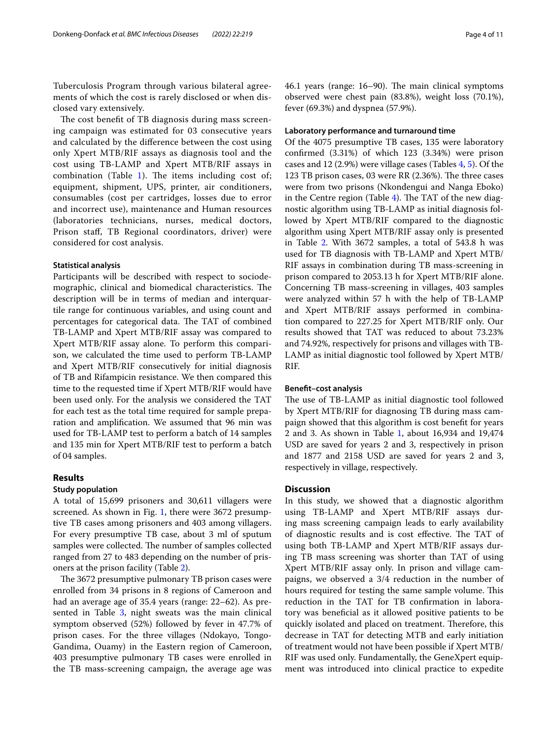Tuberculosis Program through various bilateral agreements of which the cost is rarely disclosed or when disclosed vary extensively.

The cost benefit of TB diagnosis during mass screening campaign was estimated for 03 consecutive years and calculated by the diference between the cost using only Xpert MTB/RIF assays as diagnosis tool and the cost using TB-LAMP and Xpert MTB/RIF assays in combination (Table [1](#page-2-0)). The items including cost of; equipment, shipment, UPS, printer, air conditioners, consumables (cost per cartridges, losses due to error and incorrect use), maintenance and Human resources (laboratories technicians, nurses, medical doctors, Prison staf, TB Regional coordinators, driver) were considered for cost analysis.

#### **Statistical analysis**

Participants will be described with respect to sociodemographic, clinical and biomedical characteristics. The description will be in terms of median and interquartile range for continuous variables, and using count and percentages for categorical data. The TAT of combined TB-LAMP and Xpert MTB/RIF assay was compared to Xpert MTB/RIF assay alone. To perform this comparison, we calculated the time used to perform TB-LAMP and Xpert MTB/RIF consecutively for initial diagnosis of TB and Rifampicin resistance. We then compared this time to the requested time if Xpert MTB/RIF would have been used only. For the analysis we considered the TAT for each test as the total time required for sample preparation and amplifcation. We assumed that 96 min was used for TB-LAMP test to perform a batch of 14 samples and 135 min for Xpert MTB/RIF test to perform a batch of 04 samples.

#### **Results**

#### **Study population**

A total of 15,699 prisoners and 30,611 villagers were screened. As shown in Fig. [1](#page-4-0), there were 3672 presumptive TB cases among prisoners and 403 among villagers. For every presumptive TB case, about 3 ml of sputum samples were collected. The number of samples collected ranged from 27 to 483 depending on the number of prisoners at the prison facility (Table [2](#page-5-0)).

The 3672 presumptive pulmonary TB prison cases were enrolled from 34 prisons in 8 regions of Cameroon and had an average age of 35.4 years (range: 22–62). As pre-sented in Table [3,](#page-7-0) night sweats was the main clinical symptom observed (52%) followed by fever in 47.7% of prison cases. For the three villages (Ndokayo, Tongo-Gandima, Ouamy) in the Eastern region of Cameroon, 403 presumptive pulmonary TB cases were enrolled in the TB mass-screening campaign, the average age was 46.1 years (range: 16–90). The main clinical symptoms observed were chest pain (83.8%), weight loss (70.1%), fever (69.3%) and dyspnea (57.9%).

#### **Laboratory performance and turnaround time**

Of the 4075 presumptive TB cases, 135 were laboratory confrmed (3.31%) of which 123 (3.34%) were prison cases and 12 (2.9%) were village cases (Tables [4,](#page-7-1) [5\)](#page-8-0). Of the 123 TB prison cases, 03 were RR (2.36%). The three cases were from two prisons (Nkondengui and Nanga Eboko) in the Centre region (Table  $4$ ). The TAT of the new diagnostic algorithm using TB-LAMP as initial diagnosis followed by Xpert MTB/RIF compared to the diagnostic algorithm using Xpert MTB/RIF assay only is presented in Table [2](#page-5-0). With 3672 samples, a total of 543.8 h was used for TB diagnosis with TB-LAMP and Xpert MTB/ RIF assays in combination during TB mass-screening in prison compared to 2053.13 h for Xpert MTB/RIF alone. Concerning TB mass-screening in villages, 403 samples were analyzed within 57 h with the help of TB-LAMP and Xpert MTB/RIF assays performed in combination compared to 227.25 for Xpert MTB/RIF only. Our results showed that TAT was reduced to about 73.23% and 74.92%, respectively for prisons and villages with TB-LAMP as initial diagnostic tool followed by Xpert MTB/ RIF.

#### **Beneft–cost analysis**

The use of TB-LAMP as initial diagnostic tool followed by Xpert MTB/RIF for diagnosing TB during mass campaign showed that this algorithm is cost beneft for years 2 and 3. As shown in Table [1,](#page-2-0) about 16,934 and 19,474 USD are saved for years 2 and 3, respectively in prison and 1877 and 2158 USD are saved for years 2 and 3, respectively in village, respectively.

#### **Discussion**

In this study, we showed that a diagnostic algorithm using TB-LAMP and Xpert MTB/RIF assays during mass screening campaign leads to early availability of diagnostic results and is cost effective. The TAT of using both TB-LAMP and Xpert MTB/RIF assays during TB mass screening was shorter than TAT of using Xpert MTB/RIF assay only. In prison and village campaigns, we observed a 3/4 reduction in the number of hours required for testing the same sample volume. This reduction in the TAT for TB confrmation in laboratory was benefcial as it allowed positive patients to be quickly isolated and placed on treatment. Therefore, this decrease in TAT for detecting MTB and early initiation of treatment would not have been possible if Xpert MTB/ RIF was used only. Fundamentally, the GeneXpert equipment was introduced into clinical practice to expedite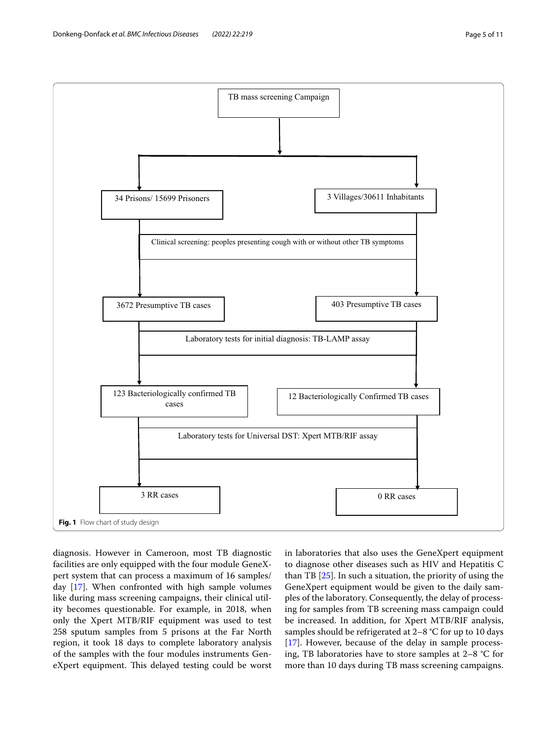

<span id="page-4-0"></span>diagnosis. However in Cameroon, most TB diagnostic facilities are only equipped with the four module GeneXpert system that can process a maximum of 16 samples/ day [[17](#page-10-10)]. When confronted with high sample volumes like during mass screening campaigns, their clinical utility becomes questionable. For example, in 2018, when only the Xpert MTB/RIF equipment was used to test 258 sputum samples from 5 prisons at the Far North region, it took 18 days to complete laboratory analysis of the samples with the four modules instruments GeneXpert equipment. This delayed testing could be worst

in laboratories that also uses the GeneXpert equipment to diagnose other diseases such as HIV and Hepatitis C than TB [[25\]](#page-10-17). In such a situation, the priority of using the GeneXpert equipment would be given to the daily samples of the laboratory. Consequently, the delay of processing for samples from TB screening mass campaign could be increased. In addition, for Xpert MTB/RIF analysis, samples should be refrigerated at 2–8 °C for up to 10 days [[17\]](#page-10-10). However, because of the delay in sample processing, TB laboratories have to store samples at 2–8 °C for more than 10 days during TB mass screening campaigns.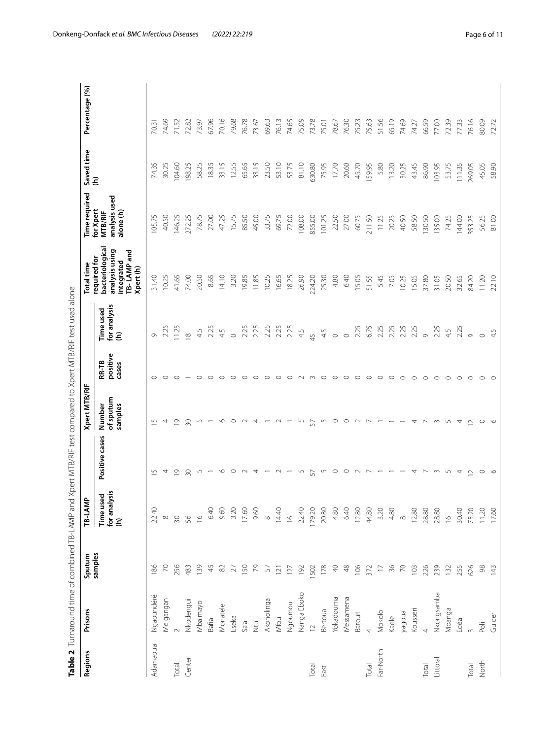<span id="page-5-0"></span>

| $\overline{a}$  |
|-----------------|
| ו<br> <br> <br> |
|                 |
|                 |
|                 |
|                 |
|                 |
|                 |
|                 |
|                 |
|                 |
| ׇ֚֘֝֬           |
|                 |
|                 |
|                 |
|                 |
|                 |
|                 |
|                 |
|                 |
|                 |
|                 |
|                 |
| <br> <br> <br>  |
|                 |
|                 |
|                 |
|                 |
|                 |
|                 |
|                 |
|                 |
|                 |
|                 |
|                 |
|                 |
|                 |
|                 |
|                 |
|                 |
| <br> <br>       |
|                 |
|                 |
|                 |
|                 |
|                 |
|                 |
|                 |
|                 |
|                 |
|                 |
|                 |
|                 |
|                 |
|                 |
|                 |
|                 |
|                 |
|                 |
| ł               |
|                 |
| Ie Z Jurna      |

| <b>Regions</b> | Prisons        | Sputum        | TB-LAMF                                   |                | Xpert MTB/RIF                  |                                   |                                | Total time                                                                                  | Time required                                             | Saved time | Percentage (%) |
|----------------|----------------|---------------|-------------------------------------------|----------------|--------------------------------|-----------------------------------|--------------------------------|---------------------------------------------------------------------------------------------|-----------------------------------------------------------|------------|----------------|
|                |                | samples       | ਦ੍ਹ 'ਫ਼ੌ<br>Time use<br>for analys<br>(h) | Positive cases | of sputum<br>samples<br>Number | positive<br><b>RR-TB</b><br>cases | for analysis<br>Time used<br>ε | bacteriological<br>analysis using<br>TB-LAMP and<br>required for<br>integrated<br>Xpert (h) | analysis used<br>for Xpert<br><b>MTB/RIF</b><br>alone (h) | Ξ          |                |
| Adamaoua       | Ngaoundéré     | 186           | 22.40                                     |                | 5                              |                                   | $\circ$                        | 31.40                                                                                       | 105.75                                                    | 74.35      | 70.31          |
|                | Meigangan      | $\approx$     | $\infty$                                  |                | 4                              |                                   | 2.25                           | 10.25                                                                                       | 40.50                                                     | 30.25      | 74.69          |
| Total          | $\sim$         | 256           | $30\,$                                    | $\overline{0}$ | $\overline{0}$                 |                                   | 11.25                          | 41.65                                                                                       | 146.25                                                    | 104.60     | 71.52          |
| Center         | Nkodengui      | 483           | 56                                        | 50             | 50                             |                                   | $\infty$                       | 74.00                                                                                       | 272.25                                                    | 198.25     | 72.82          |
|                | Mbalmayo       | 139           | $\frac{6}{2}$                             | 5              | 5                              | O                                 | 4.5                            | 20.50                                                                                       | 78.75                                                     | 58.25      | 73.97          |
|                | Bafia          | 45            | 6.40                                      |                |                                | $\circ$                           | 2.25                           | 8.65                                                                                        | 27.00                                                     | 18.35      | 67.96          |
|                | Monatele       | $82\,$        | 9.60                                      | $\circ$        | $\circ$                        | O                                 | 45                             | 14.10                                                                                       | 47.25                                                     | 33.15      | 70.16          |
|                | Eseka          | 27            | 3.20                                      |                | $\circ$                        |                                   | $\circ$                        | 3.20                                                                                        | 15.75                                                     | 12.55      | 79.68          |
|                | Sa'a           | 150           | 17.60                                     |                |                                |                                   | 2.25                           | 19.85                                                                                       | 85.50                                                     | 65.65      | 76.78          |
|                | Ntui           | 79            | 9.60                                      |                | 4                              | $\circ$                           | 2.25                           | 11.85                                                                                       | 45.00                                                     | 33.15      | 73.67          |
|                | Akonolinga     | 57            | $\infty$                                  |                |                                |                                   | 2.25                           | 10.25                                                                                       | 33.75                                                     | 23.50      | 69.63          |
|                | Mfou           | 121           | 14.40                                     |                |                                | O                                 | 2.25                           | 16.65                                                                                       | 69.75                                                     | 53.10      | 76.13          |
|                | Ngoumou        | 127           | $\frac{6}{2}$                             |                |                                | $\circ$                           | 2.25                           | 18.25                                                                                       | 72.00                                                     | 53.75      | 74.65          |
|                | Nanga Eboko    | 192           | 22.40                                     |                | 5                              |                                   | 4.5                            | 26.90                                                                                       | 108.00                                                    | 81.10      | 75.09          |
| Total          | $\overline{C}$ | 1502          | 179.20                                    | 5              | 57                             | $\infty$                          | 45                             | 224.20                                                                                      | 855.00                                                    | 630.80     | 73.78          |
| East           | Bertoua        | 178           | 20.80                                     | 5              | 5                              | $\circ$                           | 4.5                            | 25.30                                                                                       | 101.25                                                    | 75.95      | 75.01          |
|                | Yokadouma      | $\triangleq$  | 4.80                                      | $\circ$        | $\circ$                        | $\circ$                           | $\circ$                        | 4.80                                                                                        | 22.50                                                     | 17.70      | 78.67          |
|                | Messamena      | $\frac{8}{3}$ | 6.40                                      |                | $\circ$                        | $\circ$                           | $\circ$                        | 6.40                                                                                        | 27.00                                                     | 20.60      | 76.30          |
|                | <b>Batouri</b> | 106           | 12.80                                     |                | $\sim$                         | $\circ$                           | 2.25                           | 15.05                                                                                       | 60.75                                                     | 45.70      | 75.23          |
| Total          | $\overline{4}$ | 372           | 44.80                                     |                | $\sim$                         | $\circ$                           | 6.75                           | 51.55                                                                                       | 211.50                                                    | 159.95     | 75.63          |
| Far-North      | Mokolo         | $\Box$        | 3.20                                      |                |                                | $\circ$                           | 2.25                           | 5.45                                                                                        | 11.25                                                     | 5.80       | 51.56          |
|                | Kaele          | 36            | 4.80                                      |                |                                | $\circ$                           | 2.25                           | 7.05                                                                                        | 20.25                                                     | 13.20      | 65.19          |
|                | yagoua         | $\gtrsim$     | $\infty$                                  |                |                                | $\circ$                           | 2.25                           | 10.25                                                                                       | 40.50                                                     | 30.25      | 74.69          |
|                | Kousseri       | 103           | 12.80                                     |                | 4                              | $\circ$                           | 2.25                           | 15.05                                                                                       | 58.50                                                     | 43.45      | 74.27          |
| Total          | $\overline{4}$ | 226           | 28.80                                     |                |                                | $\circ$                           | $\circ$                        | 37.80                                                                                       | 130.50                                                    | 86.90      | 66.59          |
| Littoral       | Nkongsamba     | 239           | 28.80                                     |                | $\infty$                       | $\circ$                           | 2.25                           | 31.05                                                                                       | 135.00                                                    | 103.95     | 77.00          |
|                | Mbanga         | 132           | $\approx$                                 |                | L                              | $\circ$                           | 4.5                            | 20.50                                                                                       | 74.25                                                     | 53.75      | 72.39          |
|                | Edéa           | 255           | 30.40                                     | 4              | 4                              | $\circ$                           | 2.25                           | 32.65                                                                                       | 144.00                                                    | 111.35     | 77.33          |
| Total          | $\infty$       | 626           | 75.20                                     | $\sim$         | $\sim$                         | $\circ$                           | $\circ$                        | 84.20                                                                                       | 353.25                                                    | 269.05     | 76.16          |
| North          | Poli           | 98            | 11.20                                     | $\circ$        | $\circ$                        | $\circ$                           | $\circ$                        | 11.20                                                                                       | 56.25                                                     | 45.05      | 80.09          |
|                | Guider         | 143           | 17.60                                     |                | $\circ$                        | $\circ$                           | 45                             | 22.10                                                                                       | 81.00                                                     | 58.90      | 72.72          |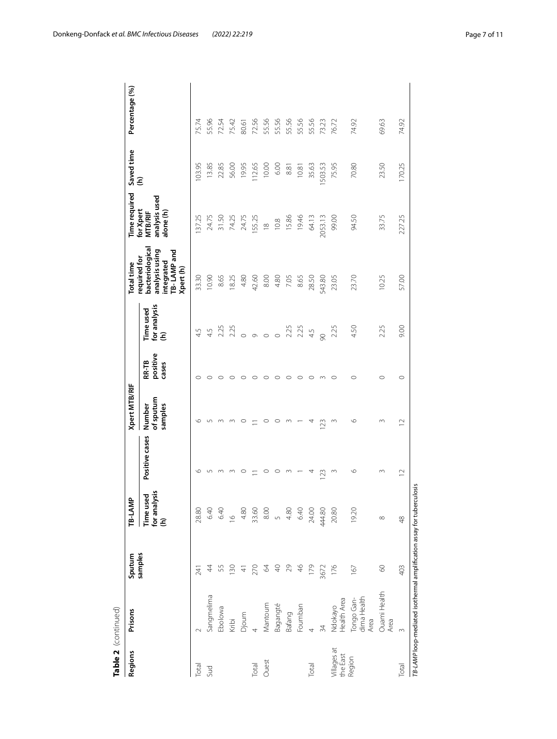| 55.56<br>55.96<br>72.56<br>55.56<br>55.56<br>55.56<br>55.56<br>75.74<br>72.54<br>75.42<br>74.92<br>76.72<br>74.92<br>69.63<br>73.23<br>80.61<br>75.95<br>70.80<br>23.50<br>170.25<br>103.95<br>13.85<br>19.95<br>112.65<br>10.00<br>6.00<br>22.85<br>56.00<br>35.63<br>503.53<br>8.81<br>10.81<br>analysis used<br><b>MTB/RIF</b><br>alone (h)<br>137.25<br>24.75<br>33.75<br>227.25<br>31.50<br>24.75<br>2053.13<br>99.00<br>94.50<br>74.25<br>155.25<br>15.86<br>19.46<br>64.13<br>10.8<br>$\frac{8}{10}$<br>bacteriological<br>analysis using<br>TB-LAMP and<br>integrated<br>Xpert (h)<br>10.90<br>4.80<br>8.00<br>33.30<br>42.60<br>4.80<br>8.65<br>28.50<br>543.80<br>23.70<br>57.00<br>8.65<br>18.25<br>7.05<br>23.05<br>10.25<br>for analysis<br>(h)<br>Time used<br>9.00<br>4.50<br>2.25<br>2.25<br>2.25<br>2.25<br>2.25<br>2.25<br>4.5<br>4.5<br>4.5<br>90<br>$\circ$<br>$\circ$<br>$\circ$<br>$\circ$<br>positive<br>RR-TB<br>cases<br>$\circ$<br>$\circ$<br>O<br>$\circ$<br>O<br>O<br>$\circ$<br>C<br>O<br>O<br>of sputum<br>Number<br>samples<br>७<br>$\circ$<br>O<br>$\sim$<br>$\circ$<br>123<br>$\supseteq$<br>Positive cases<br>৩<br>0<br>O<br>$\circ$<br>$\sim$<br>123<br>$\sim$<br>$\circ$<br>$\infty$<br>$\supseteq$<br>4<br>llysis<br>Time used<br>for analysis<br>(h)<br>28.80<br>6.40<br>19.20<br>8.00<br>4.80<br>6.40<br>444.80<br>6.40<br>4.80<br>33.60<br>24.00<br>20.80<br>$\circ$<br>$\sqrt{2}$<br>$\infty$<br>$\frac{8}{4}$<br>176<br>$\circ$<br>4<br>55<br>$\sqrt{4}$<br>29<br>46<br>179<br>403<br>64<br>$\frac{8}{2}$<br>3672<br>167<br>241<br>Ouami Health<br>Sangmelima<br>dima Health<br>Health Area<br>Tongo Gan-<br>Mantoum<br>Bagangté<br>Foumban<br>Ndokayo<br>Ebolowa<br>Bafang<br>Djoum<br>Area<br>Area<br>Kribi<br>34<br>4<br>$\infty$<br>Villages at<br>the East<br>Region<br>Ouest<br>Total<br>Total<br>Total<br>Total<br>Sud | Regions | Prisons | Sputum  | TB-LAMP | <b>Xpert MTB/RIF</b> |  | Total time   | Time required | Saved time | Percentage (%) |
|-------------------------------------------------------------------------------------------------------------------------------------------------------------------------------------------------------------------------------------------------------------------------------------------------------------------------------------------------------------------------------------------------------------------------------------------------------------------------------------------------------------------------------------------------------------------------------------------------------------------------------------------------------------------------------------------------------------------------------------------------------------------------------------------------------------------------------------------------------------------------------------------------------------------------------------------------------------------------------------------------------------------------------------------------------------------------------------------------------------------------------------------------------------------------------------------------------------------------------------------------------------------------------------------------------------------------------------------------------------------------------------------------------------------------------------------------------------------------------------------------------------------------------------------------------------------------------------------------------------------------------------------------------------------------------------------------------------------------------------------------------------------------------------------------------------------------------------------------------------------------|---------|---------|---------|---------|----------------------|--|--------------|---------------|------------|----------------|
|                                                                                                                                                                                                                                                                                                                                                                                                                                                                                                                                                                                                                                                                                                                                                                                                                                                                                                                                                                                                                                                                                                                                                                                                                                                                                                                                                                                                                                                                                                                                                                                                                                                                                                                                                                                                                                                                         |         |         | samples |         |                      |  | required for | for Xpert     | Ξ          |                |
|                                                                                                                                                                                                                                                                                                                                                                                                                                                                                                                                                                                                                                                                                                                                                                                                                                                                                                                                                                                                                                                                                                                                                                                                                                                                                                                                                                                                                                                                                                                                                                                                                                                                                                                                                                                                                                                                         |         |         |         |         |                      |  |              |               |            |                |
|                                                                                                                                                                                                                                                                                                                                                                                                                                                                                                                                                                                                                                                                                                                                                                                                                                                                                                                                                                                                                                                                                                                                                                                                                                                                                                                                                                                                                                                                                                                                                                                                                                                                                                                                                                                                                                                                         |         |         |         |         |                      |  |              |               |            |                |
|                                                                                                                                                                                                                                                                                                                                                                                                                                                                                                                                                                                                                                                                                                                                                                                                                                                                                                                                                                                                                                                                                                                                                                                                                                                                                                                                                                                                                                                                                                                                                                                                                                                                                                                                                                                                                                                                         |         |         |         |         |                      |  |              |               |            |                |
|                                                                                                                                                                                                                                                                                                                                                                                                                                                                                                                                                                                                                                                                                                                                                                                                                                                                                                                                                                                                                                                                                                                                                                                                                                                                                                                                                                                                                                                                                                                                                                                                                                                                                                                                                                                                                                                                         |         |         |         |         |                      |  |              |               |            |                |
|                                                                                                                                                                                                                                                                                                                                                                                                                                                                                                                                                                                                                                                                                                                                                                                                                                                                                                                                                                                                                                                                                                                                                                                                                                                                                                                                                                                                                                                                                                                                                                                                                                                                                                                                                                                                                                                                         |         |         |         |         |                      |  |              |               |            |                |
|                                                                                                                                                                                                                                                                                                                                                                                                                                                                                                                                                                                                                                                                                                                                                                                                                                                                                                                                                                                                                                                                                                                                                                                                                                                                                                                                                                                                                                                                                                                                                                                                                                                                                                                                                                                                                                                                         |         |         |         |         |                      |  |              |               |            |                |
|                                                                                                                                                                                                                                                                                                                                                                                                                                                                                                                                                                                                                                                                                                                                                                                                                                                                                                                                                                                                                                                                                                                                                                                                                                                                                                                                                                                                                                                                                                                                                                                                                                                                                                                                                                                                                                                                         |         |         |         |         |                      |  |              |               |            |                |
|                                                                                                                                                                                                                                                                                                                                                                                                                                                                                                                                                                                                                                                                                                                                                                                                                                                                                                                                                                                                                                                                                                                                                                                                                                                                                                                                                                                                                                                                                                                                                                                                                                                                                                                                                                                                                                                                         |         |         |         |         |                      |  |              |               |            |                |
|                                                                                                                                                                                                                                                                                                                                                                                                                                                                                                                                                                                                                                                                                                                                                                                                                                                                                                                                                                                                                                                                                                                                                                                                                                                                                                                                                                                                                                                                                                                                                                                                                                                                                                                                                                                                                                                                         |         |         |         |         |                      |  |              |               |            |                |
|                                                                                                                                                                                                                                                                                                                                                                                                                                                                                                                                                                                                                                                                                                                                                                                                                                                                                                                                                                                                                                                                                                                                                                                                                                                                                                                                                                                                                                                                                                                                                                                                                                                                                                                                                                                                                                                                         |         |         |         |         |                      |  |              |               |            |                |
|                                                                                                                                                                                                                                                                                                                                                                                                                                                                                                                                                                                                                                                                                                                                                                                                                                                                                                                                                                                                                                                                                                                                                                                                                                                                                                                                                                                                                                                                                                                                                                                                                                                                                                                                                                                                                                                                         |         |         |         |         |                      |  |              |               |            |                |
|                                                                                                                                                                                                                                                                                                                                                                                                                                                                                                                                                                                                                                                                                                                                                                                                                                                                                                                                                                                                                                                                                                                                                                                                                                                                                                                                                                                                                                                                                                                                                                                                                                                                                                                                                                                                                                                                         |         |         |         |         |                      |  |              |               |            |                |
|                                                                                                                                                                                                                                                                                                                                                                                                                                                                                                                                                                                                                                                                                                                                                                                                                                                                                                                                                                                                                                                                                                                                                                                                                                                                                                                                                                                                                                                                                                                                                                                                                                                                                                                                                                                                                                                                         |         |         |         |         |                      |  |              |               |            |                |
|                                                                                                                                                                                                                                                                                                                                                                                                                                                                                                                                                                                                                                                                                                                                                                                                                                                                                                                                                                                                                                                                                                                                                                                                                                                                                                                                                                                                                                                                                                                                                                                                                                                                                                                                                                                                                                                                         |         |         |         |         |                      |  |              |               |            |                |
|                                                                                                                                                                                                                                                                                                                                                                                                                                                                                                                                                                                                                                                                                                                                                                                                                                                                                                                                                                                                                                                                                                                                                                                                                                                                                                                                                                                                                                                                                                                                                                                                                                                                                                                                                                                                                                                                         |         |         |         |         |                      |  |              |               |            |                |
|                                                                                                                                                                                                                                                                                                                                                                                                                                                                                                                                                                                                                                                                                                                                                                                                                                                                                                                                                                                                                                                                                                                                                                                                                                                                                                                                                                                                                                                                                                                                                                                                                                                                                                                                                                                                                                                                         |         |         |         |         |                      |  |              |               |            |                |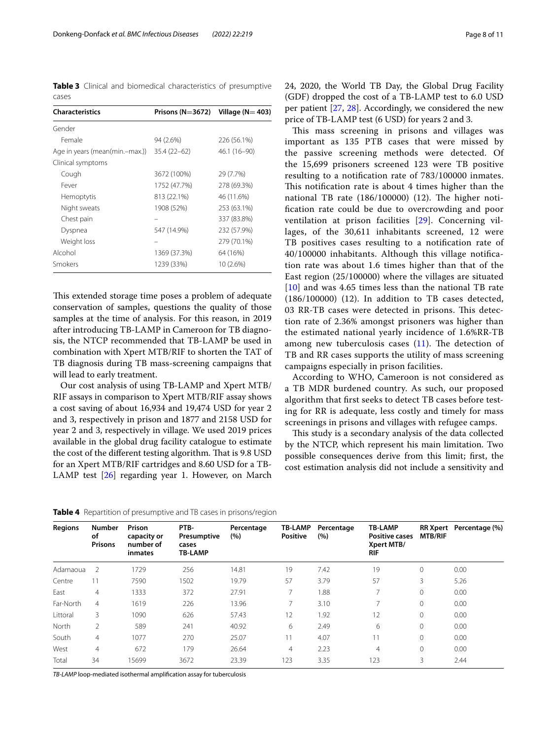<span id="page-7-0"></span>**Table 3** Clinical and biomedical characteristics of presumptive cases

| <b>Characteristics</b>         | Prisons ( $N=3672$ ) Village ( $N=403$ ) |              |
|--------------------------------|------------------------------------------|--------------|
| Gender                         |                                          |              |
| Female                         | 94 (2.6%)                                | 226 (56.1%)  |
| Age in years (mean(min.-max.)) | $35.4(22-62)$                            | 46.1 (16-90) |
| Clinical symptoms              |                                          |              |
| Cough                          | 3672 (100%)                              | 29 (7.7%)    |
| Fever                          | 1752 (47.7%)                             | 278 (69.3%)  |
| Hemoptytis                     | 813 (22.1%)                              | 46 (11.6%)   |
| Night sweats                   | 1908 (52%)                               | 253 (63.1%)  |
| Chest pain                     |                                          | 337 (83.8%)  |
| Dyspnea                        | 547 (14.9%)                              | 232 (57.9%)  |
| Weight loss                    |                                          | 279 (70.1%)  |
| Alcohol                        | 1369 (37.3%)                             | 64 (16%)     |
| Smokers                        | 1239 (33%)                               | 10 (2.6%)    |

This extended storage time poses a problem of adequate conservation of samples, questions the quality of those samples at the time of analysis. For this reason, in 2019 after introducing TB-LAMP in Cameroon for TB diagnosis, the NTCP recommended that TB-LAMP be used in combination with Xpert MTB/RIF to shorten the TAT of TB diagnosis during TB mass-screening campaigns that will lead to early treatment.

Our cost analysis of using TB-LAMP and Xpert MTB/ RIF assays in comparison to Xpert MTB/RIF assay shows a cost saving of about 16,934 and 19,474 USD for year 2 and 3, respectively in prison and 1877 and 2158 USD for year 2 and 3, respectively in village. We used 2019 prices available in the global drug facility catalogue to estimate the cost of the different testing algorithm. That is 9.8 USD for an Xpert MTB/RIF cartridges and 8.60 USD for a TB-LAMP test [\[26](#page-10-18)] regarding year 1. However, on March

24, 2020, the World TB Day, the Global Drug Facility (GDF) dropped the cost of a TB-LAMP test to 6.0 USD per patient [\[27,](#page-10-19) [28\]](#page-10-20). Accordingly, we considered the new price of TB-LAMP test (6 USD) for years 2 and 3.

This mass screening in prisons and villages was important as 135 PTB cases that were missed by the passive screening methods were detected. Of the 15,699 prisoners screened 123 were TB positive resulting to a notifcation rate of 783/100000 inmates. This notification rate is about 4 times higher than the national TB rate  $(186/100000)$   $(12)$ . The higher notifcation rate could be due to overcrowding and poor ventilation at prison facilities [\[29\]](#page-10-21). Concerning villages, of the 30,611 inhabitants screened, 12 were TB positives cases resulting to a notifcation rate of 40/100000 inhabitants. Although this village notifcation rate was about 1.6 times higher than that of the East region (25/100000) where the villages are situated [[10](#page-10-4)] and was 4.65 times less than the national TB rate (186/100000) (12). In addition to TB cases detected, 03 RR-TB cases were detected in prisons. This detection rate of 2.36% amongst prisoners was higher than the estimated national yearly incidence of 1.6%RR-TB among new tuberculosis cases  $(11)$  $(11)$ . The detection of TB and RR cases supports the utility of mass screening campaigns especially in prison facilities.

According to WHO, Cameroon is not considered as a TB MDR burdened country. As such, our proposed algorithm that frst seeks to detect TB cases before testing for RR is adequate, less costly and timely for mass screenings in prisons and villages with refugee camps.

This study is a secondary analysis of the data collected by the NTCP, which represent his main limitation. Two possible consequences derive from this limit; frst, the cost estimation analysis did not include a sensitivity and

<span id="page-7-1"></span>**Table 4** Repartition of presumptive and TB cases in prisons/region

| <b>Regions</b> | <b>Number</b><br>οf<br><b>Prisons</b> | Prison<br>capacity or<br>number of<br>inmates | PTB-<br>Presumptive<br>cases<br><b>TB-LAMP</b> | Percentage<br>(%) | <b>TB-LAMP</b><br><b>Positive</b> | Percentage<br>(%) | <b>TB-LAMP</b><br><b>Positive cases</b><br>Xpert MTB/<br>RIF | <b>MTB/RIF</b> | RR Xpert Percentage (%) |
|----------------|---------------------------------------|-----------------------------------------------|------------------------------------------------|-------------------|-----------------------------------|-------------------|--------------------------------------------------------------|----------------|-------------------------|
| Adamaoua       | 2                                     | 1729                                          | 256                                            | 14.81             | 19                                | 7.42              | 19                                                           | 0              | 0.00                    |
| Centre         |                                       | 7590                                          | 1502                                           | 19.79             | 57                                | 3.79              | 57                                                           | 3              | 5.26                    |
| East           | $\overline{4}$                        | 1333                                          | 372                                            | 27.91             | $\overline{ }$                    | 1.88              | $\overline{7}$                                               | $\Omega$       | 0.00                    |
| Far-North      | $\overline{4}$                        | 1619                                          | 226                                            | 13.96             | 7                                 | 3.10              | 7                                                            | $\Omega$       | 0.00                    |
| Littoral       | 3                                     | 1090                                          | 626                                            | 57.43             | 12                                | 1.92              | 12                                                           | $\Omega$       | 0.00                    |
| North          | $\mathfrak{D}$                        | 589                                           | 241                                            | 40.92             | 6                                 | 2.49              | 6                                                            | 0              | 0.00                    |
| South          | $\overline{4}$                        | 1077                                          | 270                                            | 25.07             | 11                                | 4.07              | 11                                                           | 0              | 0.00                    |
| West           | $\overline{4}$                        | 672                                           | 179                                            | 26.64             | 4                                 | 2.23              | $\overline{4}$                                               | $\mathbf{0}$   | 0.00                    |
| Total          | 34                                    | 15699                                         | 3672                                           | 23.39             | 123                               | 3.35              | 123                                                          | 3              | 2.44                    |

*TB-LAMP* loop-mediated isothermal amplifcation assay for tuberculosis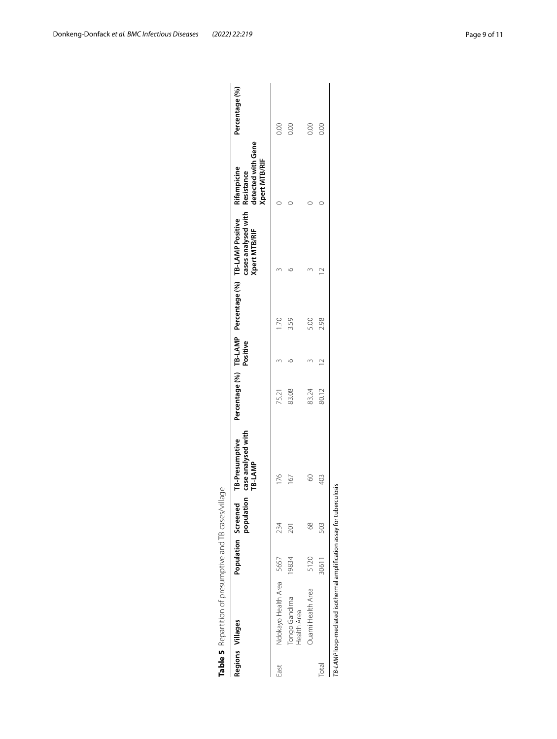<span id="page-8-0"></span>

|       | Table 5 Repartition of presumptive and TB cases/village               |       |                                   |                                                 |       |          |             |                                                                                                            |                                                   |                |
|-------|-----------------------------------------------------------------------|-------|-----------------------------------|-------------------------------------------------|-------|----------|-------------|------------------------------------------------------------------------------------------------------------|---------------------------------------------------|----------------|
|       | Regions Villages                                                      |       | populatior<br>Population Screened | TB-Presumptive<br>case analysed with<br>TB-LAMP |       | Positive |             | Percentage (%) TB-LAMP Percentage (%) TB-LAMP Positive Rifampicine<br>cases analysed with<br>Xpert MTB/RIF | detected with Gene<br>Xpert MTB/RIF<br>Resistance | Percentage (%) |
| East  | Ndokayo Health Area                                                   | 5657  | 234                               | 176                                             | 75.21 |          | <b>DZ11</b> |                                                                                                            |                                                   | 0.00           |
|       | Tongo Gandima<br>Health Area                                          | 19834 | 201                               | 167                                             | 83.08 |          | 3.59        |                                                                                                            |                                                   | 0.00           |
|       | <b>Duami Health Area</b>                                              | 5120  | $\frac{8}{6}$                     |                                                 | 83.24 |          | 5.00        |                                                                                                            |                                                   | 0.00           |
| Total |                                                                       | 30611 | 503                               | 403                                             | 80.12 |          | 2.98        |                                                                                                            |                                                   | 80             |
|       | TB-LAMP loop-mediated isothermal amplification assay for tuberculosis |       |                                   |                                                 |       |          |             |                                                                                                            |                                                   |                |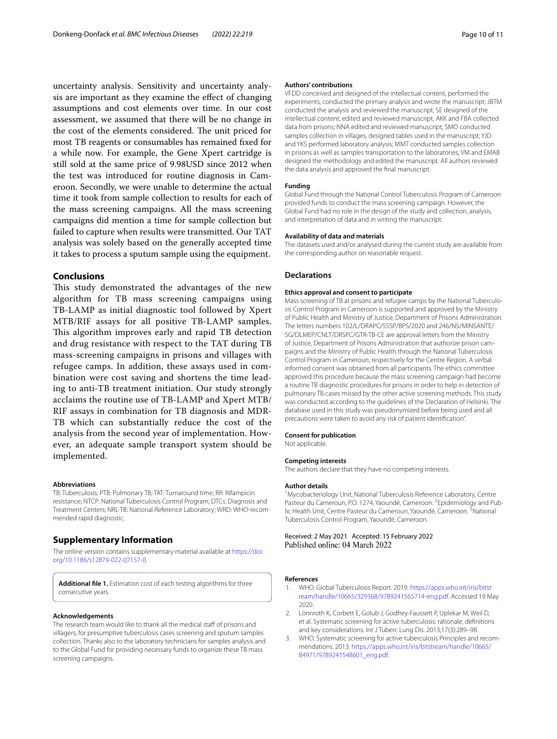uncertainty analysis. Sensitivity and uncertainty analysis are important as they examine the efect of changing assumptions and cost elements over time. In our cost assessment, we assumed that there will be no change in the cost of the elements considered. The unit priced for most TB reagents or consumables has remained fxed for a while now. For example, the Gene Xpert cartridge is still sold at the same price of 9.98USD since 2012 when the test was introduced for routine diagnosis in Cameroon. Secondly, we were unable to determine the actual time it took from sample collection to results for each of the mass screening campaigns. All the mass screening campaigns did mention a time for sample collection but failed to capture when results were transmitted. Our TAT analysis was solely based on the generally accepted time it takes to process a sputum sample using the equipment.

#### **Conclusions**

This study demonstrated the advantages of the new algorithm for TB mass screening campaigns using TB-LAMP as initial diagnostic tool followed by Xpert MTB/RIF assays for all positive TB-LAMP samples. This algorithm improves early and rapid TB detection and drug resistance with respect to the TAT during TB mass-screening campaigns in prisons and villages with refugee camps. In addition, these assays used in combination were cost saving and shortens the time leading to anti-TB treatment initiation. Our study strongly acclaims the routine use of TB-LAMP and Xpert MTB/ RIF assays in combination for TB diagnosis and MDR-TB which can substantially reduce the cost of the analysis from the second year of implementation. However, an adequate sample transport system should be implemented.

#### **Abbreviations**

TB: Tuberculosis; PTB: Pulmonary TB; TAT: Turnaround time; RR: Rifampicin resistance; NTCP: National Tuberculosis Control Program; DTCs: Diagnosis and Treatment Centers; NRL-TB: National Reference Laboratory; WRD: WHO-recom‑ mended rapid diagnostic.

#### **Supplementary Information**

The online version contains supplementary material available at [https://doi.](https://doi.org/10.1186/s12879-022-07157-0) [org/10.1186/s12879-022-07157-0](https://doi.org/10.1186/s12879-022-07157-0).

<span id="page-9-2"></span>**Additional fle 1.** Estimation cost of each testing algorithms for three consecutive years.

#### **Acknowledgements**

The research team would like to thank all the medical staff of prisons and villagers, for presumptive tuberculosis cases screening and sputum samples collection. Thanks also to the laboratory technicians for samples analysis and to the Global Fund for providing necessary funds to organize these TB mass screening campaigns.

#### **Authors' contributions**

VFDD conceived and designed of the intellectual content, performed the experiments, conducted the primary analysis and wrote the manuscript; JBTM conducted the analysis and reviewed the manuscript; SE designed of the intellectual content, edited and reviewed manuscript, AKK and FBA collected data from prisons; NNA edited and reviewed manuscript; SMO conducted samples collection in villages, designed tables used in the manuscript; YJD and YKS performed laboratory analysis; MMT conducted samples collection in prisons as well as samples transportation to the laboratories; VM and EMAB designed the methodology and edited the manuscript. All authors reviewed the data analysis and approved the fnal manuscript.

#### **Funding**

Global Fund through the National Control Tuberculosis Program of Cameroon provided funds to conduct the mass screening campaign. However, the Global Fund had no role in the design of the study and collection, analysis, and interpretation of data and in writing the manuscript.

#### **Availability of data and materials**

The datasets used and/or analysed during the current study are available from the corresponding author on reasonable request.

#### **Declarations**

#### **Ethics approval and consent to participate**

Mass screening of TB at prisons and refugee camps by the National Tuberculosis Control Program in Cameroon is supported and approved by the Ministry of Public Health and Ministry of Justice, Department of Prisons Administration. The letters numbers 102/L/DRAPC/SSSP/BPS/2020 and 246/NS/MINSANTE/ SG/DLMEP/CNLT/DRSPC/GTR-TB-CE are approval letters from the Ministry of Justice, Department of Prisons Administration that authorize prison cam‑ paigns and the Ministry of Public Health through the National Tuberculosis Control Program in Cameroun, respectively for the Centre Region. A verbal informed consent was obtained from all participants. The ethics committee approved this procedure because the mass screening campaign had become a routine TB diagnostic procedures for prisons in order to help in detection of pulmonary TB cases missed by the other active screening methods. This study was conducted according to the guidelines of the Declaration of Helsinki. The database used in this study was pseudonymized before being used and all precautions were taken to avoid any risk of patient identifcation".

#### **Consent for publication**

Not applicable. **Competing interests**

### The authors declare that they have no competing interests.

#### **Author details**

<sup>1</sup>Mycobacteriology Unit, National Tuberculosis Reference Laboratory, Centre Pasteur du Cameroun, P.O. 1274, Yaoundé, Cameroon. <sup>2</sup> Epidemiology and Public Health Unit, Centre Pasteur du Cameroun, Yaoundé, Cameroon.<sup>3</sup> National Tuberculosis Control Program, Yaoundé, Cameroon.

## Received: 2 May 2021 Accepted: 15 February 2022

#### **References**

- <span id="page-9-0"></span>WHO. Global Tuberculosis Report. 2019. [https://apps.who.int/iris/bitst](https://apps.who.int/iris/bitstream/handle/10665/329368/9789241565714-eng.pdf) [ream/handle/10665/329368/9789241565714-eng.pdf](https://apps.who.int/iris/bitstream/handle/10665/329368/9789241565714-eng.pdf). Accessed 19 May 2020.
- <span id="page-9-1"></span>2. Lönnroth K, Corbett E, Golub J, Godfrey-Faussett P, Uplekar M, Weil D, et al. Systematic screening for active tuberculosis: rationale, defnitions and key considerations. Int J Tuberc Lung Dis. 2013;17(3):289–98.
- 3. WHO. Systematic screening for active tuberculosis Principles and recommendations. 2013. [https://apps.who.int/iris/bitstream/handle/10665/](https://apps.who.int/iris/bitstream/handle/10665/84971/9789241548601_eng.pdf) [84971/9789241548601\\_eng.pdf.](https://apps.who.int/iris/bitstream/handle/10665/84971/9789241548601_eng.pdf)